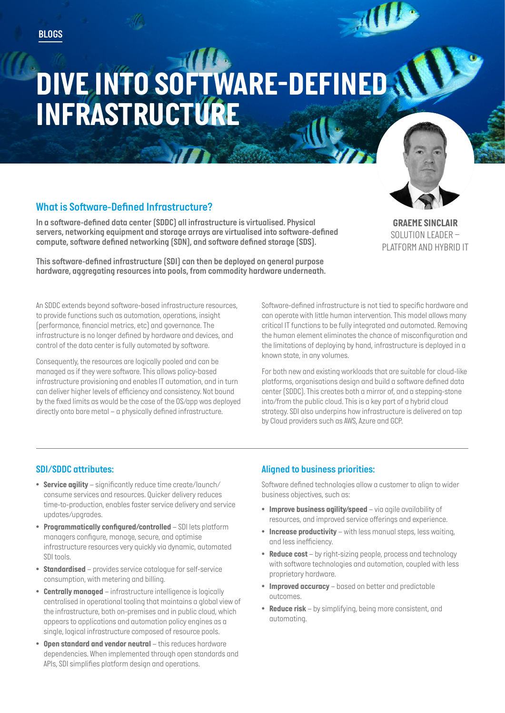# *DIVE INTO SOFTWARE-DEFINED INFRASTRUCTURE*

# *What is Software-Defined Infrastructure?*

*In a software-defined data center (SDDC) all infrastructure is virtualised. Physical servers, networking equipment and storage arrays are virtualised into software-defined compute, software defined networking (SDN), and software defined storage (SDS).* 

*This software-defined infrastructure (SDI) can then be deployed on general purpose hardware, aggregating resources into pools, from commodity hardware underneath.* 

*An SDDC extends beyond software-based infrastructure resources, to provide functions such as automation, operations, insight (performance, financial metrics, etc) and governance. The infrastructure is no longer defined by hardware and devices, and control of the data center is fully automated by software.* 

*Consequently, the resources are logically pooled and can be managed as if they were software. This allows policy-based infrastructure provisioning and enables IT automation, and in turn can deliver higher levels of efficiency and consistency. Not bound by the fixed limits as would be the case of the OS/app was deployed directly onto bare metal – a physically defined infrastructure.*

*Software-defined infrastructure is not tied to specific hardware and can operate with little human intervention. This model allows many critical IT functions to be fully integrated and automated. Removing the human element eliminates the chance of misconfiguration and the limitations of deploying by hand, infrastructure is deployed in a known state, in any volumes.*

*For both new and existing workloads that are suitable for cloud-like platforms, organisations design and build a software defined data center (SDDC). This creates both a mirror of, and a stepping-stone into/from the public cloud. This is a key part of a hybrid cloud strategy. SDI also underpins how infrastructure is delivered on tap by Cloud providers such as AWS, Azure and GCP.*

## *SDI/SDDC attributes:*

- *Service agility significantly reduce time create/launch/ consume services and resources. Quicker delivery reduces time-to-production, enables faster service delivery and service updates/upgrades.*
- *Programmatically configured/controlled SDI lets platform managers configure, manage, secure, and optimise infrastructure resources very quickly via dynamic, automated SDI tools.*
- *Standardised provides service catalogue for self-service consumption, with metering and billing.*
- *Centrally managed infrastructure intelligence is logically centralised in operational tooling that maintains a global view of the infrastructure, both on-premises and in public cloud, which appears to applications and automation policy engines as a single, logical infrastructure composed of resource pools.*
- *Open standard and vendor neutral this reduces hardware dependencies. When implemented through open standards and APIs, SDI simplifies platform design and operations.*

## *Aligned to business priorities:*

*Software defined technologies allow a customer to align to wider business objectives, such as:*

- *Improve business agility/speed via agile availability of resources, and improved service offerings and experience.*
- *Increase productivity with less manual steps, less waiting, and less inefficiency.*
- *Reduce cost by right-sizing people, process and technology with software technologies and automation, coupled with less proprietary hardware.*
- *Improved accuracy based on better and predictable outcomes.*
- *Reduce risk by simplifying, being more consistent, and automating.*